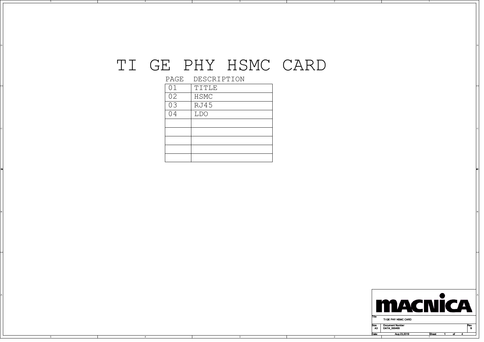## TI GE PHY HSMC CARD

ol and the contract of the contract of the contract of the contract of the contract of the contract of the contract of the contract of the contract of the contract of the contract of the contract of the contract of the con

┑

BI<br>BI

2

PAGE DESCRIPTION

4

4

A

| 01 | TITLE |
|----|-------|
| 02 | HSMC  |
| 03 | RJ45  |
| 04 | LDO   |
|    |       |
|    |       |
|    |       |
|    |       |
|    |       |

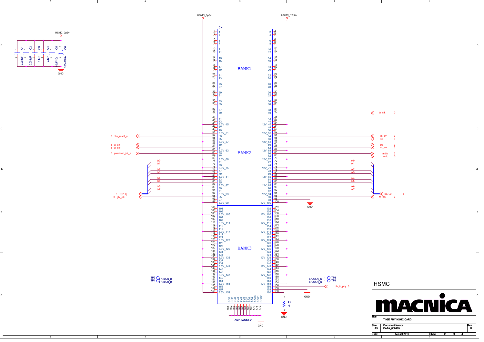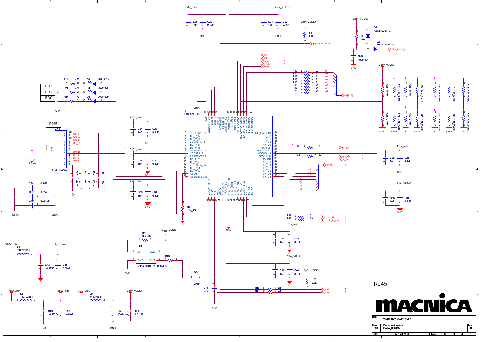